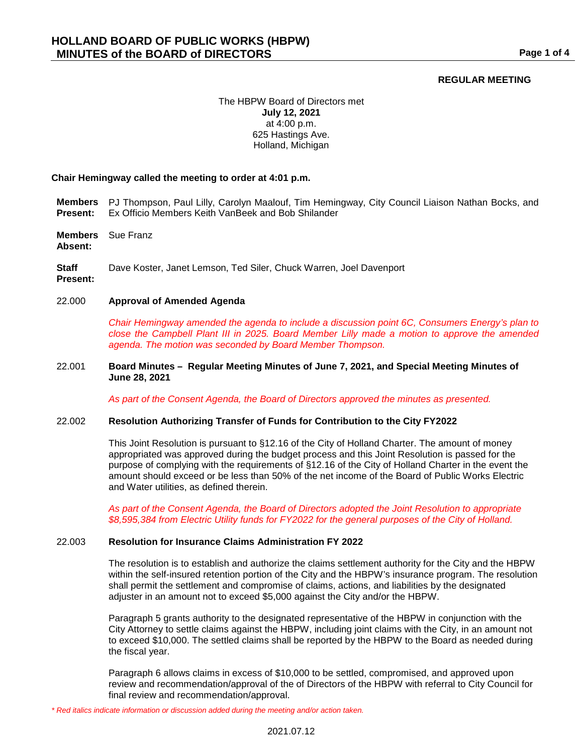# **REGULAR MEETING**

## The HBPW Board of Directors met **July 12, 2021** at 4:00 p.m. 625 Hastings Ave. Holland, Michigan

### **Chair Hemingway called the meeting to order at 4:01 p.m.**

- **Members**  PJ Thompson, Paul Lilly, Carolyn Maalouf, Tim Hemingway, City Council Liaison Nathan Bocks, and **Present:** Ex Officio Members Keith VanBeek and Bob Shilander
- **Members**  Sue Franz

**Absent:**

**Staff**  Dave Koster, Janet Lemson, Ted Siler, Chuck Warren, Joel Davenport

**Present:**

## 22.000 **Approval of Amended Agenda**

*Chair Hemingway amended the agenda to include a discussion point 6C, Consumers Energy's plan to close the Campbell Plant III in 2025. Board Member Lilly made a motion to approve the amended agenda. The motion was seconded by Board Member Thompson.*

### 22.001 **Board Minutes – Regular Meeting Minutes of June 7, 2021, and Special Meeting Minutes of June 28, 2021**

*As part of the Consent Agenda, the Board of Directors approved the minutes as presented.*

## 22.002 **Resolution Authorizing Transfer of Funds for Contribution to the City FY2022**

This Joint Resolution is pursuant to §12.16 of the City of Holland Charter. The amount of money appropriated was approved during the budget process and this Joint Resolution is passed for the purpose of complying with the requirements of §12.16 of the City of Holland Charter in the event the amount should exceed or be less than 50% of the net income of the Board of Public Works Electric and Water utilities, as defined therein.

*As part of the Consent Agenda, the Board of Directors adopted the Joint Resolution to appropriate \$8,595,384 from Electric Utility funds for FY2022 for the general purposes of the City of Holland.*

#### 22.003 **Resolution for Insurance Claims Administration FY 2022**

The resolution is to establish and authorize the claims settlement authority for the City and the HBPW within the self-insured retention portion of the City and the HBPW's insurance program. The resolution shall permit the settlement and compromise of claims, actions, and liabilities by the designated adjuster in an amount not to exceed \$5,000 against the City and/or the HBPW.

Paragraph 5 grants authority to the designated representative of the HBPW in conjunction with the City Attorney to settle claims against the HBPW, including joint claims with the City, in an amount not to exceed \$10,000. The settled claims shall be reported by the HBPW to the Board as needed during the fiscal year.

Paragraph 6 allows claims in excess of \$10,000 to be settled, compromised, and approved upon review and recommendation/approval of the of Directors of the HBPW with referral to City Council for final review and recommendation/approval.

*<sup>\*</sup> Red italics indicate information or discussion added during the meeting and/or action taken.*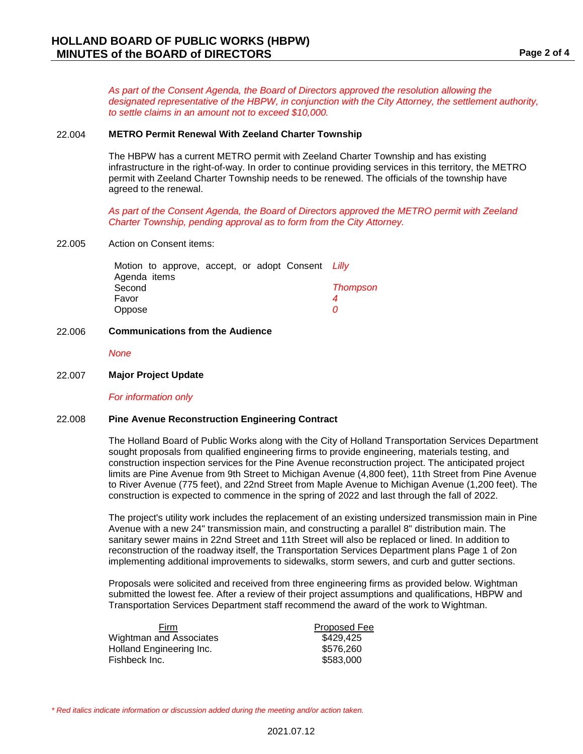*As part of the Consent Agenda, the Board of Directors approved the resolution allowing the designated representative of the HBPW, in conjunction with the City Attorney, the settlement authority, to settle claims in an amount not to exceed \$10,000.*

#### 22.004 **METRO Permit Renewal With Zeeland Charter Township**

The HBPW has a current METRO permit with Zeeland Charter Township and has existing infrastructure in the right-of-way. In order to continue providing services in this territory, the METRO permit with Zeeland Charter Township needs to be renewed. The officials of the township have agreed to the renewal.

*As part of the Consent Agenda, the Board of Directors approved the METRO permit with Zeeland Charter Township, pending approval as to form from the City Attorney.*

### 22.005 Action on Consent items:

|              |  |  | Motion to approve, accept, or adopt Consent Lilly |                 |
|--------------|--|--|---------------------------------------------------|-----------------|
| Agenda items |  |  |                                                   |                 |
| Second       |  |  |                                                   | <b>Thompson</b> |
| Favor        |  |  |                                                   |                 |
| Oppose       |  |  |                                                   | 71              |

### 22.006 **Communications from the Audience**

*None*

# 22.007 **Major Project Update**

*For information only*

#### 22.008 **Pine Avenue Reconstruction Engineering Contract**

The Holland Board of Public Works along with the City of Holland Transportation Services Department sought proposals from qualified engineering firms to provide engineering, materials testing, and construction inspection services for the Pine Avenue reconstruction project. The anticipated project limits are Pine Avenue from 9th Street to Michigan Avenue (4,800 feet), 11th Street from Pine Avenue to River Avenue (775 feet), and 22nd Street from Maple Avenue to Michigan Avenue (1,200 feet). The construction is expected to commence in the spring of 2022 and last through the fall of 2022.

The project's utility work includes the replacement of an existing undersized transmission main in Pine Avenue with a new 24" transmission main, and constructing a parallel 8" distribution main. The sanitary sewer mains in 22nd Street and 11th Street will also be replaced or lined. In addition to reconstruction of the roadway itself, the Transportation Services Department plans Page 1 of 2on implementing additional improvements to sidewalks, storm sewers, and curb and gutter sections.

Proposals were solicited and received from three engineering firms as provided below. Wightman submitted the lowest fee. After a review of their project assumptions and qualifications, HBPW and Transportation Services Department staff recommend the award of the work to Wightman.

| <b>Firm</b>              | <b>Proposed Fee</b> |
|--------------------------|---------------------|
| Wightman and Associates  | \$429.425           |
| Holland Engineering Inc. | \$576,260           |
| Fishbeck Inc.            | \$583,000           |
|                          |                     |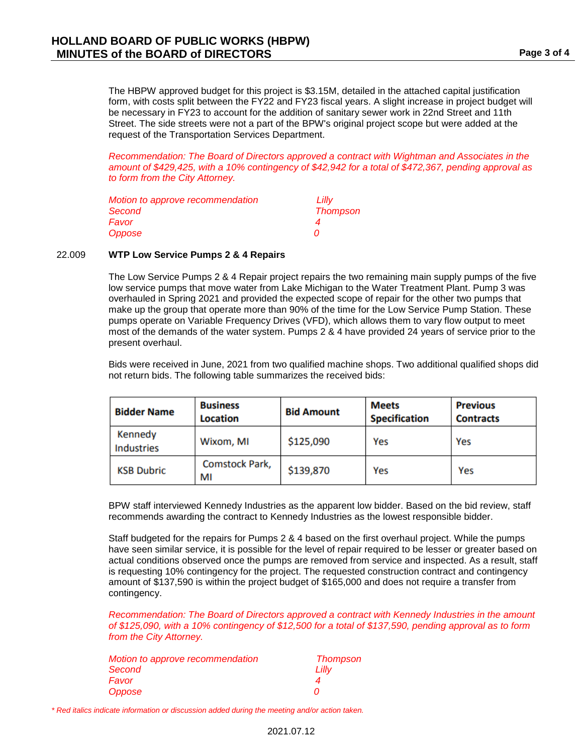The HBPW approved budget for this project is \$3.15M, detailed in the attached capital justification form, with costs split between the FY22 and FY23 fiscal years. A slight increase in project budget will be necessary in FY23 to account for the addition of sanitary sewer work in 22nd Street and 11th Street. The side streets were not a part of the BPW's original project scope but were added at the request of the Transportation Services Department.

*Recommendation: The Board of Directors approved a contract with Wightman and Associates in the amount of \$429,425, with a 10% contingency of \$42,942 for a total of \$472,367, pending approval as to form from the City Attorney.*

| Motion to approve recommendation | Lilly           |
|----------------------------------|-----------------|
| Second                           | <b>Thompson</b> |
| Favor                            |                 |
| Oppose                           |                 |

### 22.009 **WTP Low Service Pumps 2 & 4 Repairs**

The Low Service Pumps 2 & 4 Repair project repairs the two remaining main supply pumps of the five low service pumps that move water from Lake Michigan to the Water Treatment Plant. Pump 3 was overhauled in Spring 2021 and provided the expected scope of repair for the other two pumps that make up the group that operate more than 90% of the time for the Low Service Pump Station. These pumps operate on Variable Frequency Drives (VFD), which allows them to vary flow output to meet most of the demands of the water system. Pumps 2 & 4 have provided 24 years of service prior to the present overhaul.

Bids were received in June, 2021 from two qualified machine shops. Two additional qualified shops did not return bids. The following table summarizes the received bids:

| <b>Bidder Name</b>           | <b>Business</b><br><b>Location</b> | <b>Bid Amount</b> | <b>Meets</b><br><b>Specification</b> | <b>Previous</b><br><b>Contracts</b> |
|------------------------------|------------------------------------|-------------------|--------------------------------------|-------------------------------------|
| Kennedy<br><b>Industries</b> | Wixom, MI                          | \$125,090         | Yes                                  | Yes                                 |
| <b>KSB Dubric</b>            | <b>Comstock Park,</b><br>МI        | \$139,870         | Yes                                  | Yes                                 |

BPW staff interviewed Kennedy Industries as the apparent low bidder. Based on the bid review, staff recommends awarding the contract to Kennedy Industries as the lowest responsible bidder.

Staff budgeted for the repairs for Pumps 2 & 4 based on the first overhaul project. While the pumps have seen similar service, it is possible for the level of repair required to be lesser or greater based on actual conditions observed once the pumps are removed from service and inspected. As a result, staff is requesting 10% contingency for the project. The requested construction contract and contingency amount of \$137,590 is within the project budget of \$165,000 and does not require a transfer from contingency.

*Recommendation: The Board of Directors approved a contract with Kennedy Industries in the amount of \$125,090, with a 10% contingency of \$12,500 for a total of \$137,590, pending approval as to form from the City Attorney.*

| Motion to approve recommendation | <b>Thompson</b> |
|----------------------------------|-----------------|
| Second                           | Lilly           |
| Favor                            |                 |
| Oppose                           | n               |

*\* Red italics indicate information or discussion added during the meeting and/or action taken.*